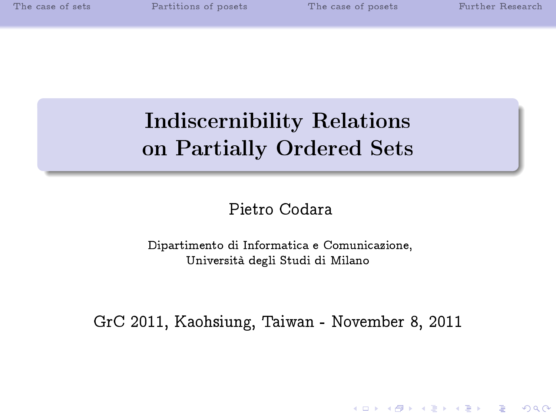# Indiscernibility Relations on Partially Ordered Sets

Pietro Codara

Dipartimento di Informatica e Comunicazione, Università degli Studi di Milano

GrC 2011, Kaohsiung, Taiwan - November 8, 2011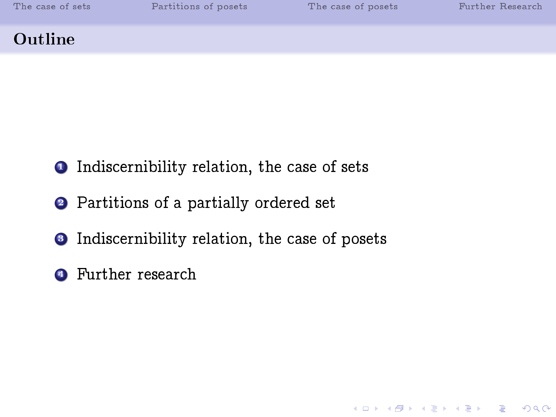K ロ ▶ K 레 ≯ K 제공 → K 공 → X 9 Q Q Q

#### Outline

- **1** Indiscernibility relation, the case of sets
- <sup>2</sup> Partitions of a partially ordered set
- <sup>3</sup> Indiscernibility relation, the case of posets
- **4** Further research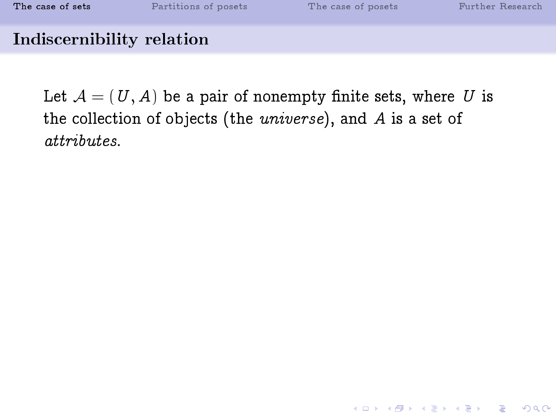#### Indiscernibility relation

<span id="page-2-0"></span>Let  $\mathcal{A} = (U, A)$  be a pair of nonempty finite sets, where U is the collection of objects (the universe), and A is a set of attributes.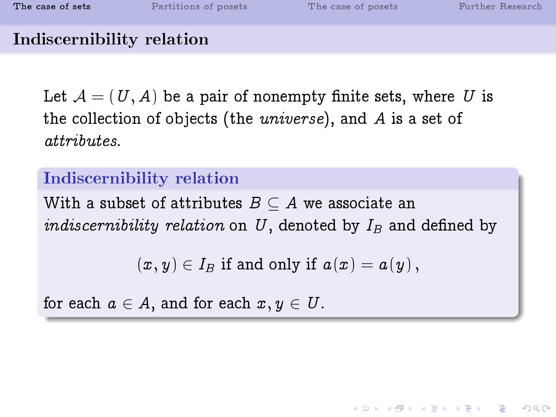**KOR & KERKER ADA KON** 

### Indiscernibility relation

Let  $\mathcal{A} = (U, A)$  be a pair of nonempty finite sets, where U is the collection of objects (the universe), and A is a set of attributes.

### Indiscernibility relation

With a subset of attributes  $B \subseteq A$  we associate an *indiscernibility relation* on U, denoted by  $I_B$  and defined by

 $(x, y) \in I_B$  if and only if  $a(x) = a(y)$ ,

for each  $a \in A$ , and for each  $x, y \in U$ .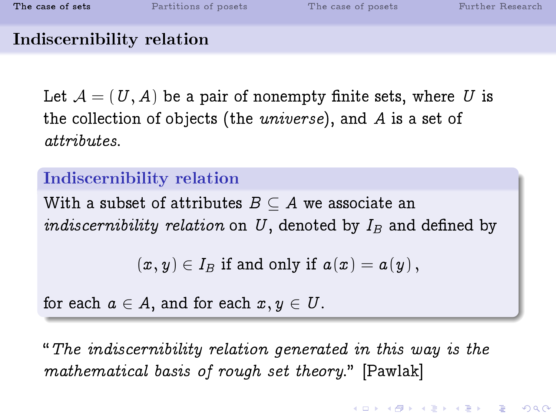**KOR & KERKER ADA KON** 

### Indiscernibility relation

Let  $\mathcal{A} = (U, A)$  be a pair of nonempty finite sets, where U is the collection of objects (the universe), and A is a set of attributes.

### Indiscernibility relation

With a subset of attributes  $B \subseteq A$  we associate an *indiscernibility relation* on U, denoted by  $I_B$  and defined by

 $(x, y) \in I_B$  if and only if  $a(x) = a(y)$ ,

for each  $a \in A$ , and for each  $x, y \in U$ .

The indiscernibility relation generated in this way is the mathematical basis of rough set theory." [Pawlak]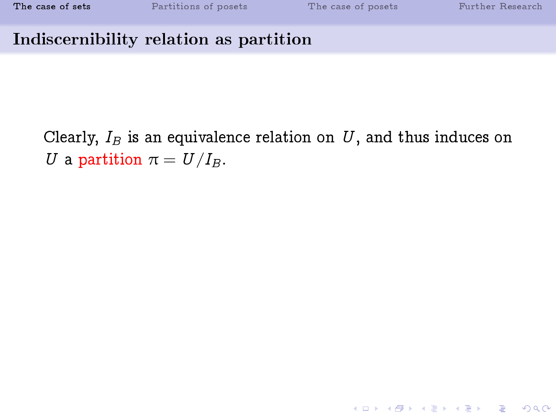K ロ ▶ K 레 ≯ K 제공 → K 공 → X 9 Q Q Q

#### Indiscernibility relation as partition

Clearly,  $I_B$  is an equivalence relation on U, and thus induces on U a partition  $\pi = U/I_B$ .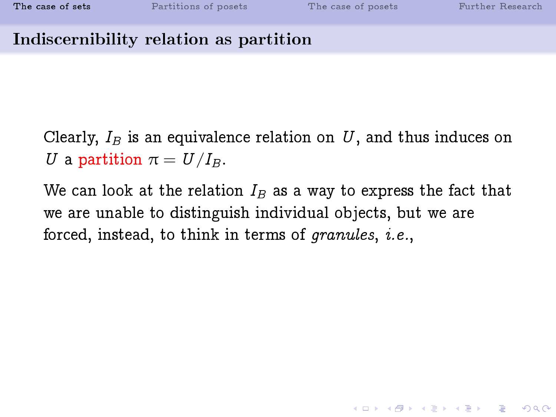**K ロ ▶ K 레 ▶ K 코 ▶ K 코 ▶ 『 코 │ ◆ 9 Q ①** 

#### Indiscernibility relation as partition

Clearly,  $I_B$  is an equivalence relation on U, and thus induces on U a partition  $\pi = U/I_B$ .

We can look at the relation  $I_B$  as a way to express the fact that we are unable to distinguish individual objects, but we are forced, instead, to think in terms of granules, i.e.,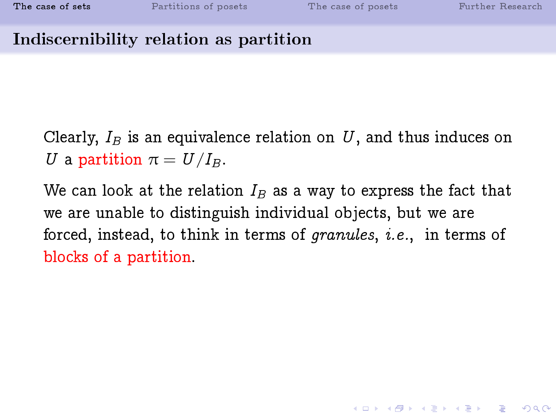#### Indiscernibility relation as partition

Clearly,  $I_B$  is an equivalence relation on U, and thus induces on U a partition  $\pi = U/I_B$ .

We can look at the relation  $I_B$  as a way to express the fact that we are unable to distinguish individual objects, but we are forced, instead, to think in terms of granules, i.e., in terms of blocks of a partition.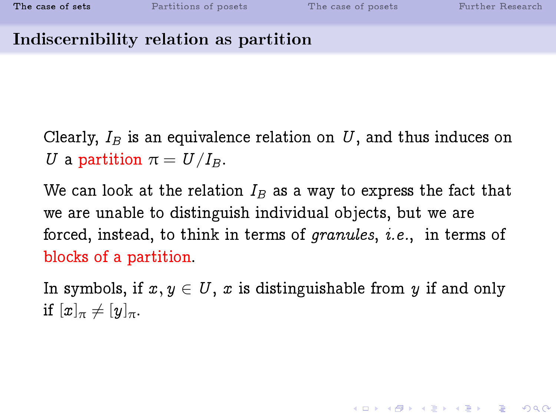**A DIA 4 B A DIA A B A DIA 4 DIA A DIA B** 

#### Indiscernibility relation as partition

Clearly,  $I_B$  is an equivalence relation on U, and thus induces on U a partition  $\pi = U/I_B$ .

We can look at the relation  $I_B$  as a way to express the fact that we are unable to distinguish individual objects, but we are forced, instead, to think in terms of granules, i.e., in terms of blocks of a partition.

In symbols, if  $x, y \in U$ , x is distinguishable from y if and only if  $[x]_{\pi} \neq [y]_{\pi}$ .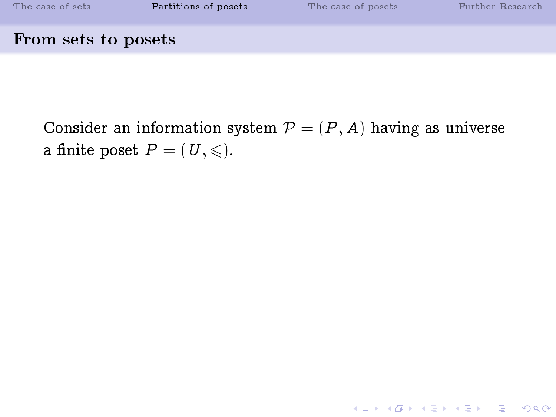| The case of sets    | Partitions of posets | The case of posets | Further Research |
|---------------------|----------------------|--------------------|------------------|
| From sets to posets |                      |                    |                  |

<span id="page-9-0"></span>Consider an information system  $P = (P, A)$  having as universe a finite poset  $P = (U, \leqslant)$ .

K ロ ▶ K 레 ▶ K 코 ▶ K 코 ▶ 『코 │ ◆ 9 Q ⊙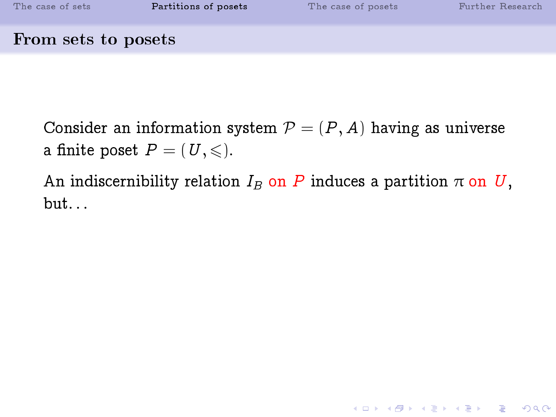From sets to posets

Consider an information system  $P = (P, A)$  having as universe a finite poset  $P = (U, \leqslant)$ .

An indiscernibility relation  $I_B$  on P induces a partition  $\pi$  on U,  $but...$ 

**KOD START KED KEN EL VAN**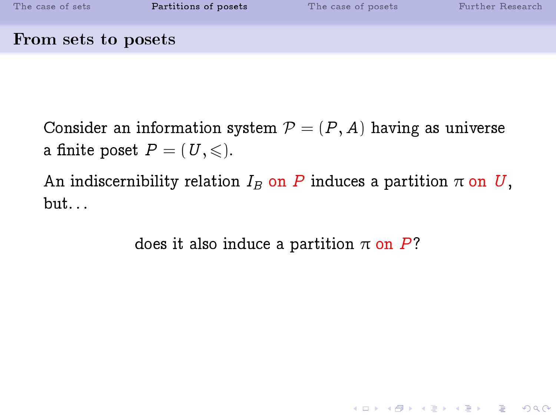From sets to posets

Consider an information system  $P = (P, A)$  having as universe a finite poset  $P = (U, \leqslant)$ .

An indiscernibility relation  $I_B$  on P induces a partition  $\pi$  on U,  $but...$ 

does it also induce a partition  $\pi$  on P?

**KOD START KED KEN EL VAN**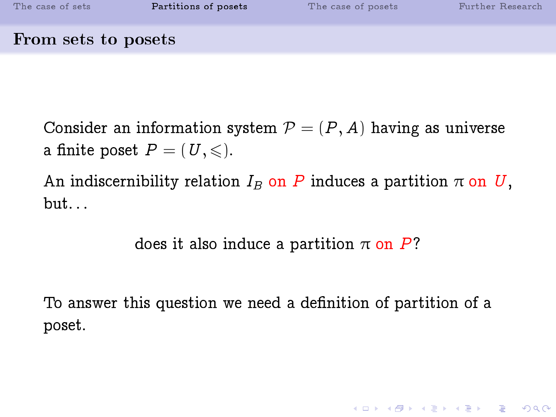From sets to posets

Consider an information system  $P = (P, A)$  having as universe a finite poset  $P = (U, \leqslant)$ .

An indiscernibility relation  $I_B$  on P induces a partition  $\pi$  on U, but. . .

does it also induce a partition  $\pi$  on P?

To answer this question we need a definition of partition of a poset.

**K ロ ▶ K 레 ▶ K 코 ▶ K 코 ▶ 『코』 ◆ 9 Q OK**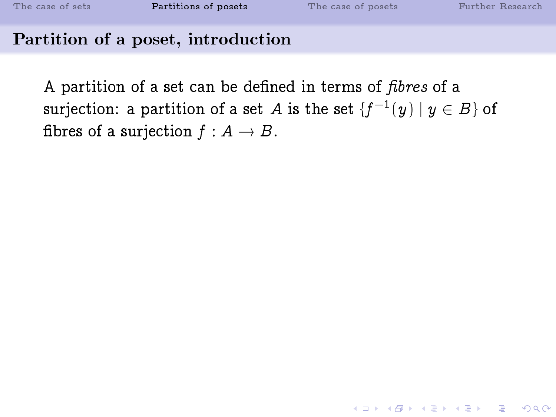#### Partition of a poset, introduction

A partition of a set can be defined in terms of *fibres* of a surjection: a partition of a set  $A$  is the set  $\{f^{-1}(y) \mid y \in B\}$  of fibres of a surjection  $f : A \rightarrow B$ .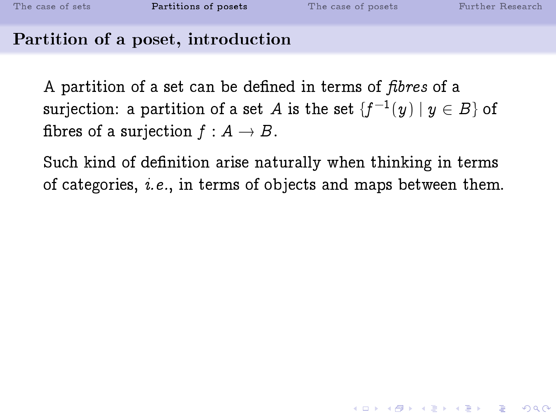#### Partition of a poset, introduction

A partition of a set can be defined in terms of *fibres* of a surjection: a partition of a set  $A$  is the set  $\{f^{-1}(y) \mid y \in B\}$  of fibres of a surjection  $f : A \rightarrow B$ .

Such kind of definition arise naturally when thinking in terms of categories, i.e., in terms of objects and maps between them.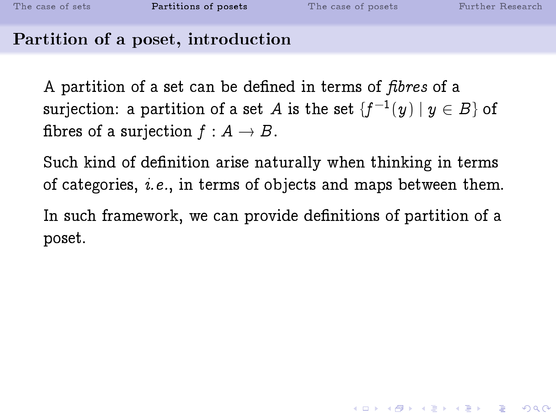### Partition of a poset, introduction

A partition of a set can be defined in terms of *fibres* of a surjection: a partition of a set  $A$  is the set  $\{f^{-1}(y) \mid y \in B\}$  of fibres of a surjection  $f : A \rightarrow B$ .

Such kind of definition arise naturally when thinking in terms of categories, i.e., in terms of objects and maps between them.

In such framework, we can provide definitions of partition of a poset.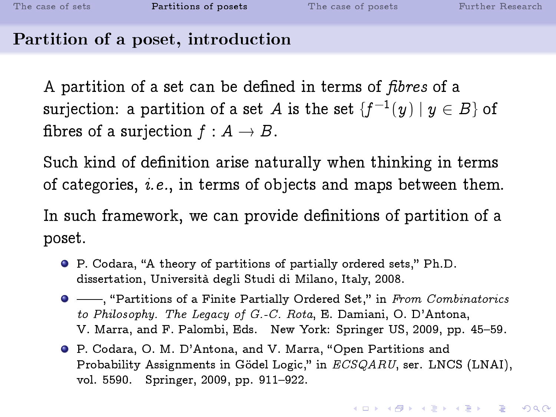#### Partition of a poset, introduction

A partition of a set can be defined in terms of *fibres* of a surjection: a partition of a set  $A$  is the set  $\{f^{-1}(y) \mid y \in B\}$  of fibres of a surjection  $f : A \rightarrow B$ .

Such kind of definition arise naturally when thinking in terms of categories, i.e., in terms of objects and maps between them.

In such framework, we can provide definitions of partition of a poset.

- P. Codara, "A theory of partitions of partially ordered sets," Ph.D. dissertation, Università degli Studi di Milano, Italy, 2008.
- $\bullet$  ——, "Partitions of a Finite Partially Ordered Set," in From Combinatorics to Philosophy. The Legacy of G.-C. Rota, E. Damiani, O. D'Antona, V. Marra, and F. Palombi, Eds. New York: Springer US, 2009, pp. 45-59.
- **P.** Codara, O. M. D'Antona, and V. Marra, "Open Partitions and Probability Assignments in Gödel Logic," in ECSQARU, ser. LNCS (LNAI), vol. 5590. Springer, 2009, pp. 911-922.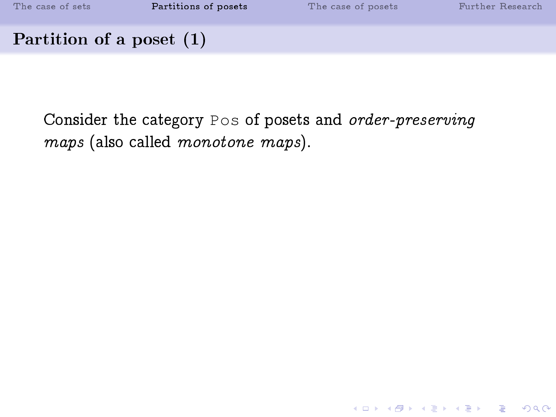| The case of sets           | Partitions of posets | The case of posets | Further Research |
|----------------------------|----------------------|--------------------|------------------|
| Partition of a poset $(1)$ |                      |                    |                  |

Consider the category Pos of posets and order-preserving maps (also called monotone maps).

K ロ ▶ K 個 ▶ K 할 ▶ K 할 ▶ 이 할 → 900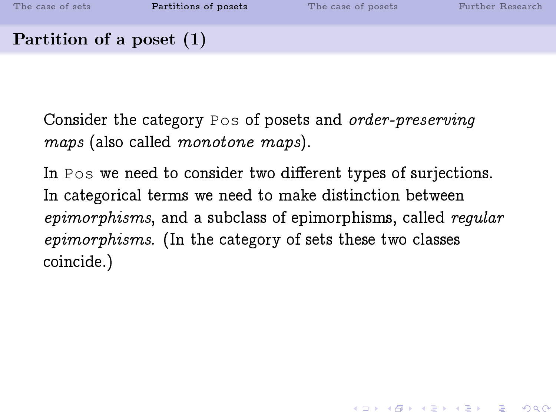Partition of a poset (1)

Consider the category Pos of posets and order-preserving maps (also called monotone maps).

In Pos we need to consider two different types of surjections. In categorical terms we need to make distinction between epimorphisms, and a subclass of epimorphisms, called regular epimorphisms. (In the category of sets these two classes coincide.)

**KOD START KED KEN EL VAN**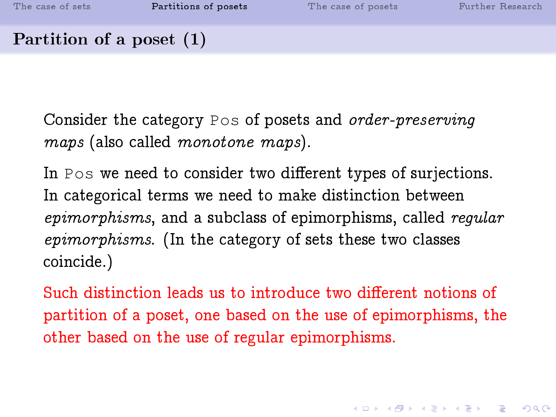Consider the category Pos of posets and order-preserving maps (also called monotone maps).

In Pos we need to consider two different types of surjections. In categorical terms we need to make distinction between epimorphisms, and a subclass of epimorphisms, called regular epimorphisms. (In the category of sets these two classes coincide.)

Such distinction leads us to introduce two different notions of partition of a poset, one based on the use of epimorphisms, the other based on the use of regular epimorphisms.

**KOD START KED KEN EL VAN**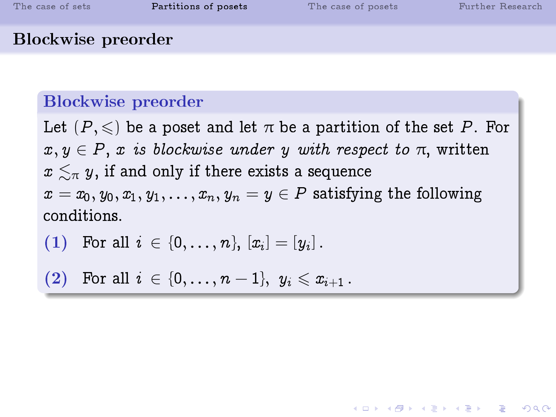#### Blockwise preorder

#### Blockwise preorder

Let  $(P, \leqslant)$  be a poset and let  $\pi$  be a partition of the set P. For  $x, y \in P$ , x is blockwise under y with respect to  $\pi$ , written  $x \lesssim_{\pi} y$ , if and only if there exists a sequence  $x = x_0, y_0, x_1, y_1, \ldots, x_n, y_n = y \in P$  satisfying the following conditions.

KEL KALK KEL KEL KARK

(1) For all 
$$
i \in \{0, ..., n\}
$$
,  $[x_i] = [y_i]$ .

$$
(2) \quad \text{For all } i \, \in \, \{0,\ldots,n-1\}, \, \, y_i \leqslant x_{i+1} \, .
$$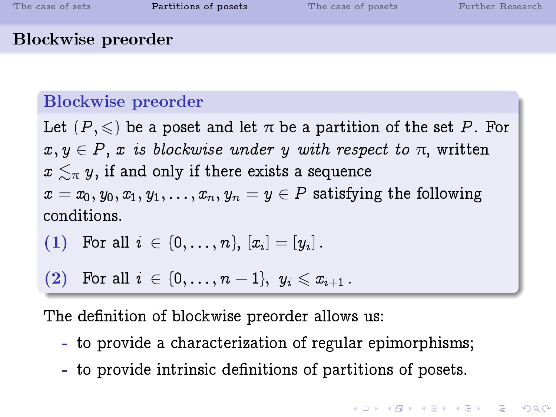#### Blockwise preorder

#### Blockwise preorder

Let  $(P, \leqslant)$  be a poset and let  $\pi$  be a partition of the set P. For  $x, y \in P$ , x is blockwise under y with respect to  $\pi$ , written  $x \lesssim_{\pi} y$ , if and only if there exists a sequence  $x = x_0, y_0, x_1, y_1, \ldots, x_n, y_n = y \in P$  satisfying the following conditions.

(1) For all 
$$
i \in \{0, ..., n\}
$$
,  $[x_i] = [y_i]$ .

(2) For all 
$$
i \in \{0, ..., n-1\}
$$
,  $y_i \leq x_{i+1}$ .

The definition of blockwise preorder allows us:

- to provide a characterization of regular epimorphisms;
- to provide intrinsic definitions of partitions of posets.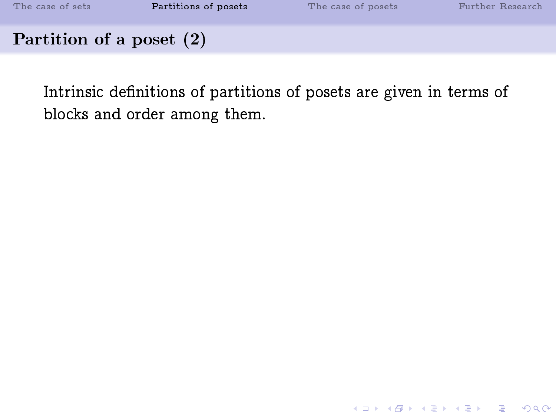| The case of sets           | Partitions of posets | The case of posets | Further Research |
|----------------------------|----------------------|--------------------|------------------|
| Partition of a poset $(2)$ |                      |                    |                  |

Intrinsic definitions of partitions of posets are given in terms of blocks and order among them.

K ロ ▶ K 레 ▶ K 코 ▶ K 코 ▶ 『코 │ ◆ 9 Q ⊙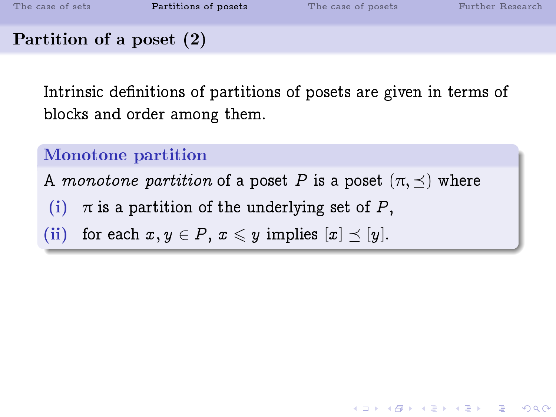Partition of a poset (2)

Intrinsic definitions of partitions of posets are given in terms of blocks and order among them.

**KORKA SERKER SHORA** 

### Monotone partition

A monotone partition of a poset P is a poset  $(\pi, \prec)$  where

- (i)  $\pi$  is a partition of the underlying set of P,
- (ii) for each  $x, y \in P$ ,  $x \leq y$  implies  $[x] \preceq [y]$ .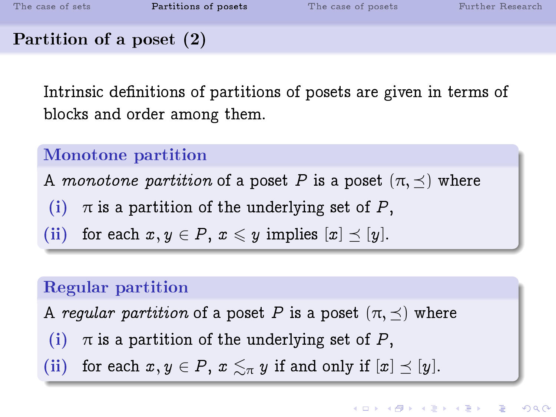Partition of a poset (2)

Intrinsic definitions of partitions of posets are given in terms of blocks and order among them.

### Monotone partition

A monotone partition of a poset P is a poset  $(\pi, \prec)$  where

- (i)  $\pi$  is a partition of the underlying set of P,
- (ii) for each  $x, y \in P$ ,  $x \leq y$  implies  $[x] \preceq [y]$ .

### Regular partition

A regular partition of a poset P is a poset  $(\pi, \prec)$  where

- (i)  $\pi$  is a partition of the underlying set of P,
- (ii) for each  $x, y \in P$ ,  $x \lesssim_{\pi} y$  if and only if  $[x] \preceq [y]$ .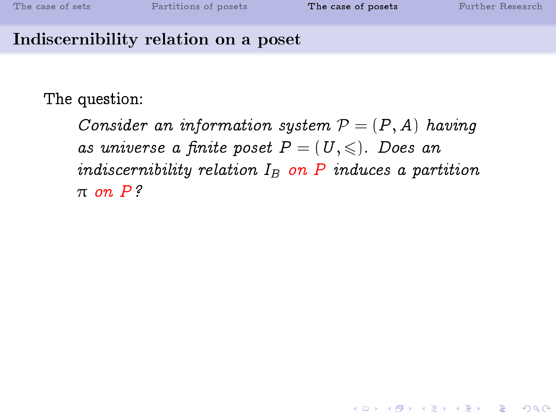**KOD 4 ADD 4 BD 4 BD BD 9 ACT** 

#### Indiscernibility relation on a poset

The question:

<span id="page-25-0"></span>Consider an information system  $P = (P, A)$  having as universe a finite poset  $P = (U, \leqslant)$ . Does an indiscernibility relation  $I_B$  on P induces a partition  $\pi$  on  $P$ ?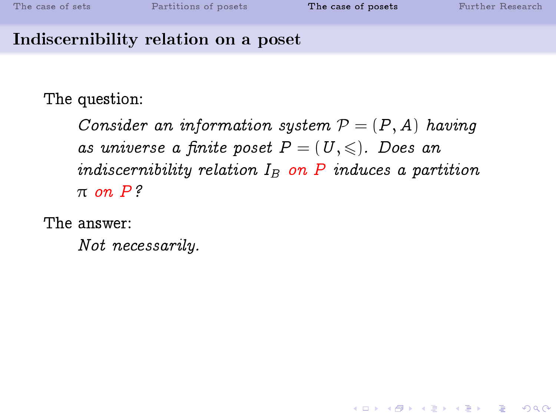### Indiscernibility relation on a poset

The question:

Consider an information system  $P = (P, A)$  having as universe a finite poset  $P = (U, \leqslant)$ . Does an indiscernibility relation  $I_B$  on P induces a partition  $\pi$  on  $P$ ?

The answer:

Not necessarily.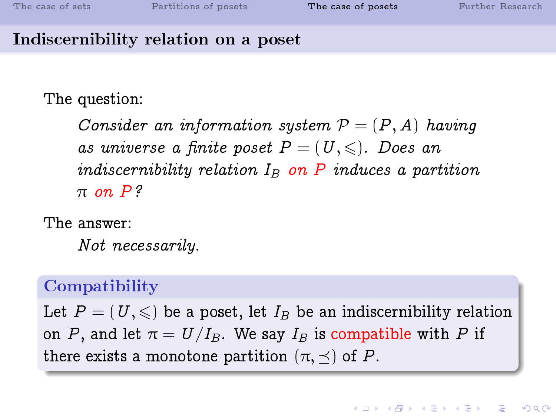### Indiscernibility relation on a poset

The question:

Consider an information system  $P = (P, A)$  having as universe a finite poset  $P = (U, \leqslant)$ . Does an indiscernibility relation  $I_B$  on P induces a partition  $\pi$  on  $P$ ?

The answer:

Not necessarily.

### Compatibility

Let  $P = (U, \leqslant)$  be a poset, let  $I_B$  be an indiscernibility relation on P, and let  $\pi = U/I_B$ . We say  $I_B$  is compatible with P if there exists a monotone partition  $(\pi, \preceq)$  of P.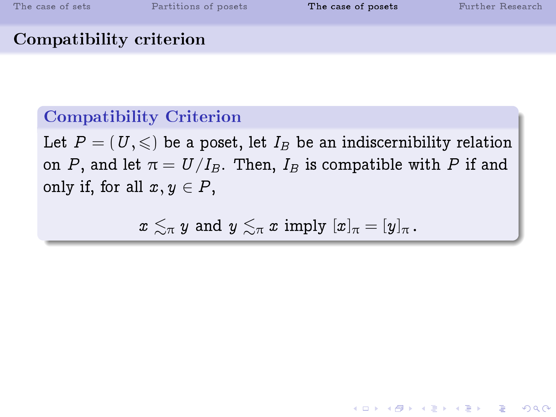#### Compatibility criterion

### Compatibility Criterion

Let  $P = (U, \leqslant)$  be a poset, let  $I_B$  be an indiscernibility relation on P, and let  $\pi = U/I_B$ . Then,  $I_B$  is compatible with P if and only if, for all  $x, y \in P$ ,

 $x \leq_{\pi} y$  and  $y \leq_{\pi} x$  imply  $[x]_{\pi} = [y]_{\pi}$ .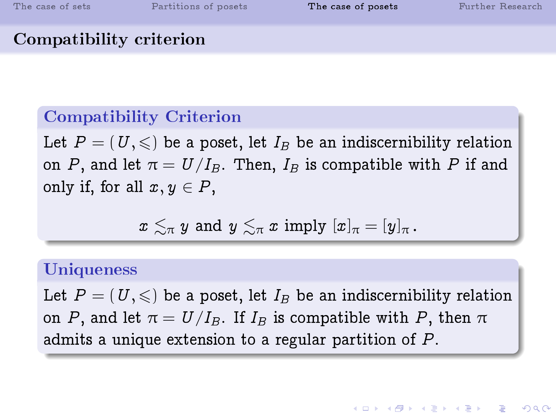**KOR & KERKER ADA KON** 

### Compatibility criterion

#### Compatibility Criterion

Let  $P = (U, \leqslant)$  be a poset, let  $I_B$  be an indiscernibility relation on P, and let  $\pi = U/I_B$ . Then,  $I_B$  is compatible with P if and only if, for all  $x, y \in P$ ,

$$
x \lesssim_{\pi} y \text{ and } y \lesssim_{\pi} x \text{ imply } [x]_{\pi} = [y]_{\pi}.
$$

#### **Uniqueness**

Let  $P = (U, \leqslant)$  be a poset, let  $I_B$  be an indiscernibility relation on P, and let  $\pi = U/I_B$ . If  $I_B$  is compatible with P, then  $\pi$ admits a unique extension to a regular partition of P.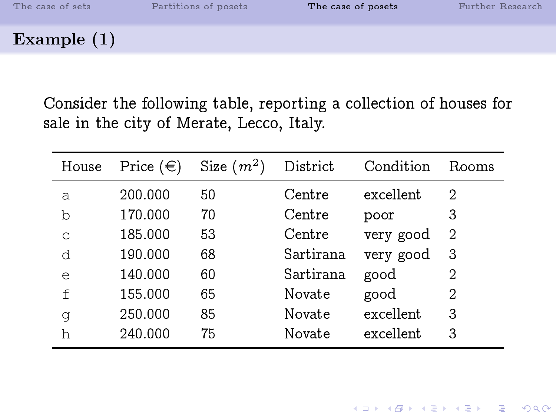Example (1)

Consider the following table, reporting a collection of houses for sale in the city of Merate, Lecco, Italy.

| House        | Price $(\in)$ | Size $(m^2)$ | District  | Condition | Rooms |
|--------------|---------------|--------------|-----------|-----------|-------|
| a            | 200.000       | 50           | Centre    | excellent | 2     |
| b            | 170.000       | 70           | Centre    | poor      | 3     |
| C            | 185.000       | 53           | Centre    | very good | 2     |
| d            | 190.000       | 68           | Sartirana | very good | 3     |
| e            | 140.000       | 60           | Sartirana | good      | 2     |
| $\mathsf{f}$ | 155.000       | 65           | Novate    | good      | 2     |
| q            | 250.000       | 85           | Novate    | excellent | 3     |
| h            | 240.000       | 75           | Novate    | excellent | 3     |

K ロ ▶ K 個 ▶ K 할 ▶ K 할 ▶ 이 할 → 900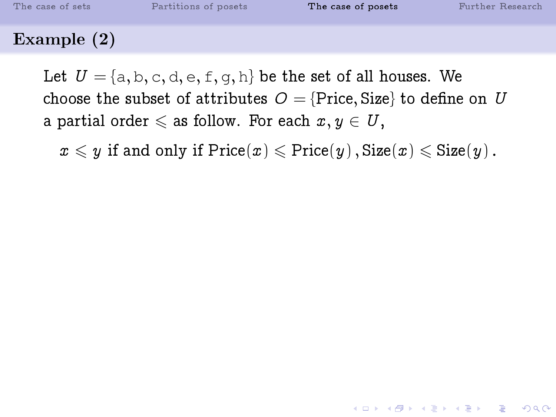### Example (2)

Let  $U = \{a, b, c, d, e, f, q, h\}$  be the set of all houses. We choose the subset of attributes  $O = \{Price, Size\}$  to define on U a partial order  $\leqslant$  as follow. For each  $x, y \in U$ ,

 $x \leq y$  if and only if  $Price(x) \leqslant Price(y)$ ,  $Size(x) \leqslant Size(y)$ .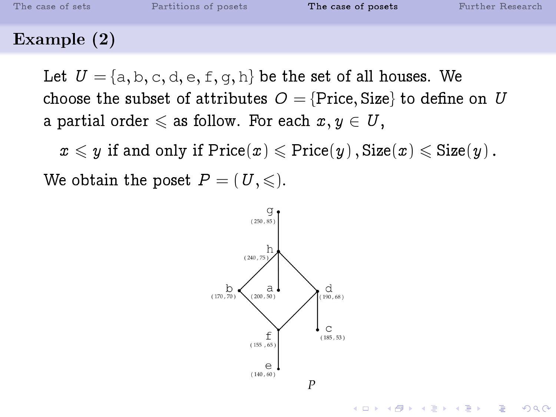### Example (2)

Let  $U = \{a, b, c, d, e, f, q, h\}$  be the set of all houses. We choose the subset of attributes  $O = \{Price, Size\}$  to define on U a partial order  $\leqslant$  as follow. For each  $x, y \in U,$ 

 $x \leqslant y$  if and only if  $\mathrm{Price}(x) \leqslant \mathrm{Price}(y)$ ,  $\mathrm{Size}(x) \leqslant \mathrm{Size}(y)$ . We obtain the poset  $P = (U, \leqslant)$ .

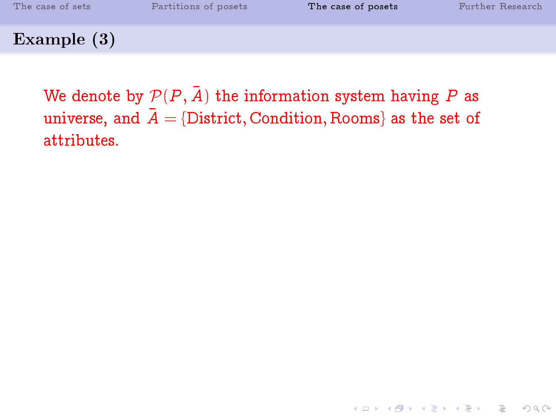We denote by  $\mathcal{P}(P, \overline{A})$  the information system having P as universe, and  $\overline{A} = \{\text{District}, \text{Condition}, \text{Rooms}\}\$ as the set of attributes.

**KOD 4 ADD 4 BD 4 BD BD 9 ACT**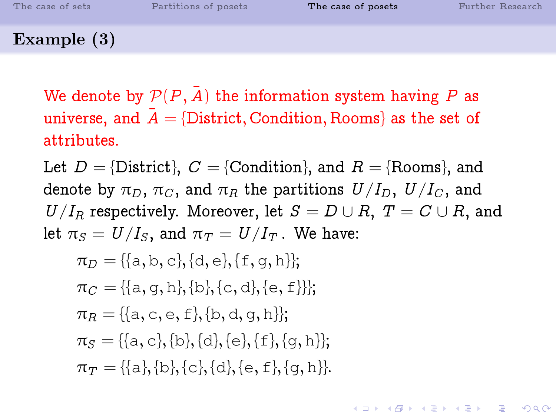#### Example (3)

We denote by  $\mathcal{P}(P, \bar{A})$  the information system having P as universe, and  $\overline{A} = \{\text{District}, \text{Condition}, \text{Rooms}\}\$ as the set of attributes.

Let  $D = \{\text{District}\}\$ ,  $C = \{\text{Condition}\}\$ , and  $R = \{\text{Rooms}\}\$ , and denote by  $\pi_D$ ,  $\pi_C$ , and  $\pi_R$  the partitions  $U/I_D$ ,  $U/I_C$ , and  $U/I_R$  respectively. Moreover, let  $S = D \cup R$ ,  $T = C \cup R$ , and let  $\pi_S = U/I_S$ , and  $\pi_T = U/I_T$ . We have:

**KOD START KED KEN EL VAN** 

$$
\pi_D = \{\{a, b, c\}, \{d, e\}, \{f, g, h\}\};
$$

$$
\pi_C = \{\{a, g, h\}, \{b\}, \{c, d\}, \{e, f\}\}\};
$$

$$
\pi_R = \{\{a, c, e, f\}, \{b, d, g, h\}\};
$$

$$
\pi_S = \{\{a, c\}, \{b\}, \{d\}, \{e\}, \{f\}, \{g, h\}\};
$$

$$
\pi_T = \{\{a\}, \{b\}, \{c\}, \{d\}, \{e, f\}, \{g, h\}\}.
$$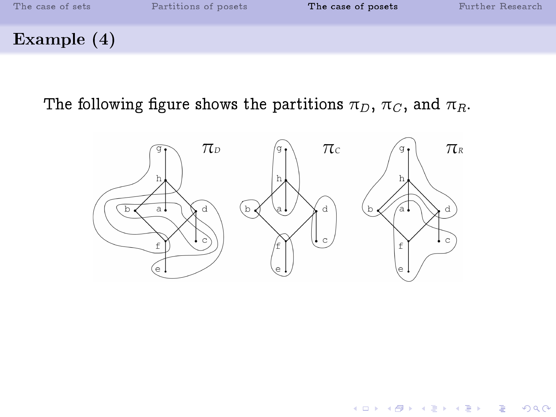

#### The following figure shows the partitions  $\pi_D$ ,  $\pi_C$ , and  $\pi_R$ .



K ロ ▶ K 御 ▶ K 결 ▶ K 결 ▶ ○ 결 ○

 $299$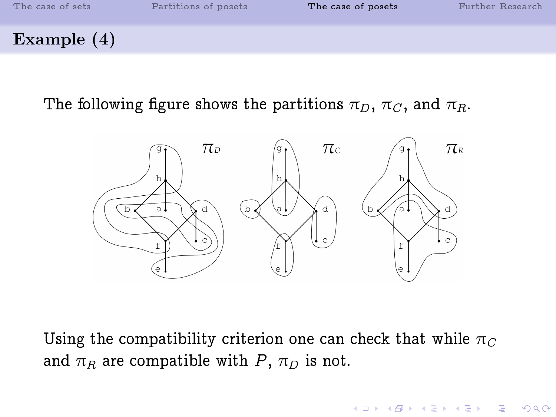

The following figure shows the partitions  $\pi_D$ ,  $\pi_C$ , and  $\pi_R$ .



Using the compatibility criterion one can check that while  $\pi_C$ and  $\pi_R$  are compatible with P,  $\pi_D$  is not.

 $\mathbf{1} \oplus \mathbf{1} \oplus \mathbf{1} \oplus \mathbf{1} \oplus \mathbf{1} \oplus \mathbf{1} \oplus \mathbf{1} \oplus \mathbf{1} \oplus \mathbf{1} \oplus \mathbf{1} \oplus \mathbf{1} \oplus \mathbf{1} \oplus \mathbf{1} \oplus \mathbf{1} \oplus \mathbf{1} \oplus \mathbf{1} \oplus \mathbf{1} \oplus \mathbf{1} \oplus \mathbf{1} \oplus \mathbf{1} \oplus \mathbf{1} \oplus \mathbf{1} \oplus \mathbf{1} \oplus \mathbf{1} \oplus \mathbf{$ 

 $2990$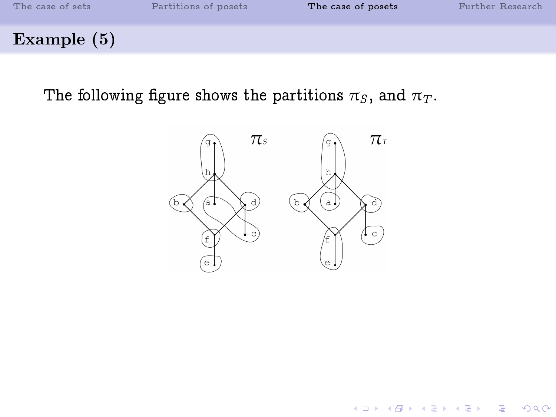

The following figure shows the partitions  $\pi_S$ , and  $\pi_T$ .



K ロ K K @ K K 할 K K 할 K ( 할 K )

 $299$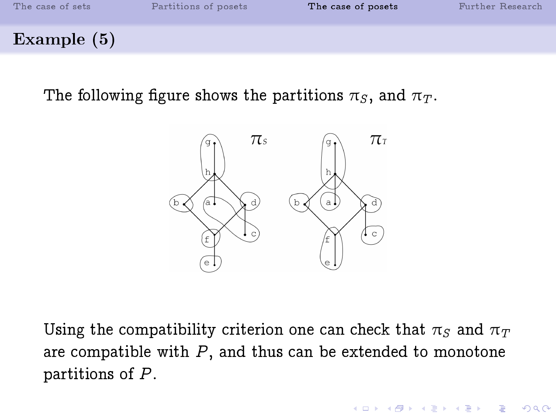

The following figure shows the partitions  $\pi_S$ , and  $\pi_T$ .



Using the compatibility criterion one can check that  $\pi_S$  and  $\pi_T$ are compatible with  $P$ , and thus can be extended to monotone partitions of P.

**KORKA SERKER SHORA**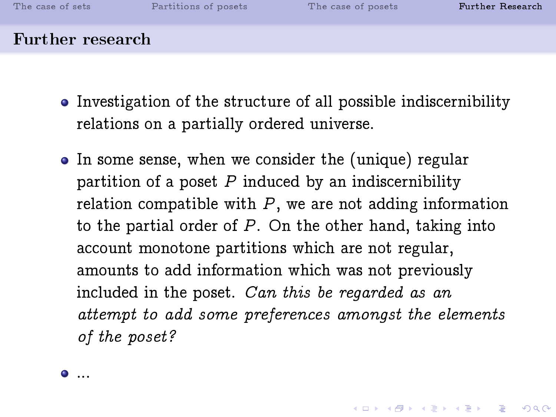**A DIA 4 B A DIA A B A DIA 4 DIA A DIA B** 

#### Further research

- Investigation of the structure of all possible indiscernibility relations on a partially ordered universe.
- In some sense, when we consider the (unique) regular partition of a poset  $P$  induced by an indiscernibility relation compatible with  $P$ , we are not adding information to the partial order of  $P$ . On the other hand, taking into account monotone partitions which are not regular, amounts to add information which was not previously included in the poset. Can this be regarded as an attempt to add some preferences amongst the elements of the poset?

<span id="page-39-0"></span>...